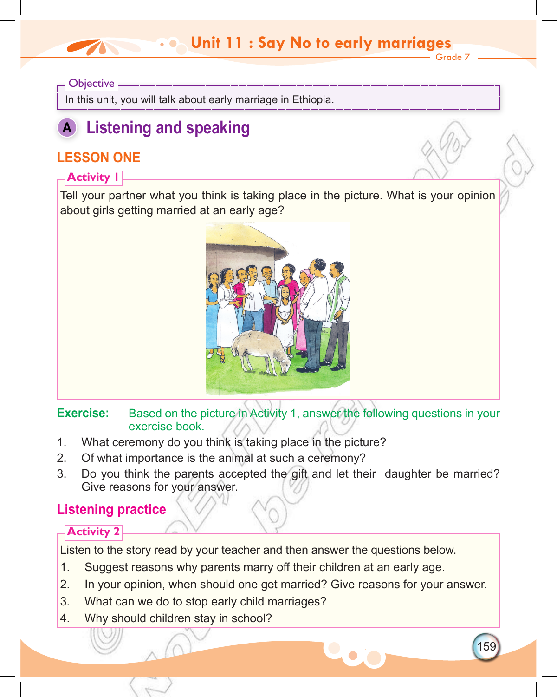#### Grade 7 **Unit 11: Say No to early marriage Unit 11 : Say No to early marriages**

#### **Objective**

In this unit, you will talk about early marriage in Ethiopia.

# **A Listening and speaking**

# **LESSON ONE**

## **Activity 1**

Tell your partner what you think is taking place in the picture. What is your opinion about girls getting married at an early age?



**Exercise:** Based on the picture in Activity 1, answer the following questions in your exercise book.

- 1. What ceremony do you think is taking place in the picture?
- 2. Of what importance is the animal at such a ceremony?
- 3. Do you think the parents accepted the gift and let their daughter be married? Give reasons for your answer.

# **Listening practice**

# **Activity 2**

Listen to the story read by your teacher and then answer the questions below.

- 1. Suggest reasons why parents marry off their children at an early age.
- 2. In your opinion, when should one get married? Give reasons for your answer.

159

- 3. What can we do to stop early child marriages?
- 4. Why should children stay in school?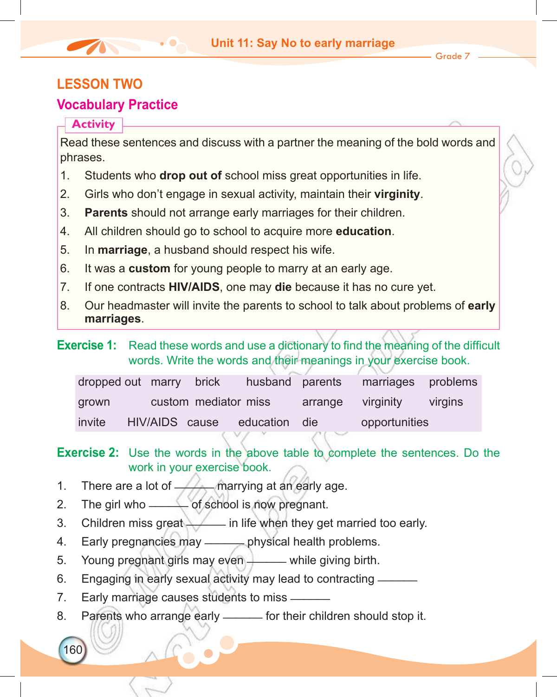## **LESSON two**

# **Vocabulary Practice**

#### **Activity**

160

Read these sentences and discuss with a partner the meaning of the bold words and phrases.

- 1. Students who **drop out of** school miss great opportunities in life.
- 2. Girls who don't engage in sexual activity, maintain their **virginity**.
- 3. **Parents** should not arrange early marriages for their children.
- 4. All children should go to school to acquire more **education**.
- 5. In **marriage**, a husband should respect his wife.
- 6. It was a **custom** for young people to marry at an early age.
- 7. If one contracts **HIV/AIDS**, one may **die** because it has no cure yet.
- 8. Our headmaster will invite the parents to school to talk about problems of **early marriages**.
- **Exercise 1:** Read these words and use a dictionary to find the meaning of the difficult words. Write the words and their meanings in your exercise book.

| dropped out marry brick |  |                      | husband parents              |                   | marriages problems |         |
|-------------------------|--|----------------------|------------------------------|-------------------|--------------------|---------|
| grown                   |  | custom mediator miss |                              | arrange virginity |                    | virgins |
| invite                  |  |                      | HIV/AIDS cause education die |                   | opportunities      |         |

**Exercise 2:** Use the words in the above table to complete the sentences. Do the work in your exercise book.

- 1. There are a lot of  $\longrightarrow$  marrying at an early age.
- 2. The girl who <u>\_\_\_\_\_</u> of school is now pregnant.
- 3. Children miss great  $\angle$  in life when they get married too early.
- 4. Early pregnancies may <u>each operator</u> physical health problems.
- 5. Young pregnant girls may even \_\_\_\_\_ while giving birth.
- 6. Engaging in early sexual activity may lead to contracting \_\_\_\_\_\_
- 7. Early marriage causes students to miss \_\_\_\_\_\_
- 8. Parents who arrange early ——— for their children should stop it.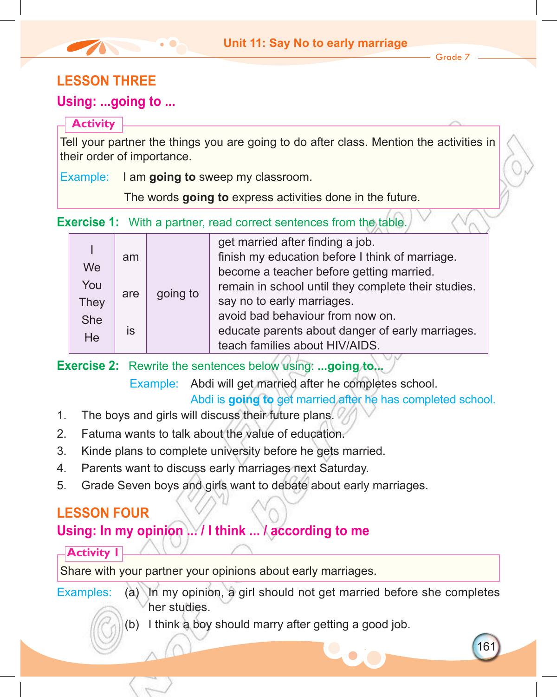Grade 7

161

# **Lesson THREE**

## **Using: ...going to ...**

#### **Activity**

Tell your partner the things you are going to do after class. Mention the activities in their order of importance.

Example: I am **going to** sweep my classroom.

The words **going to** express activities done in the future.

**Exercise 1:** With a partner, read correct sentences from the table.

|             |     |          | get married after finding a job.                    |                            |
|-------------|-----|----------|-----------------------------------------------------|----------------------------|
|             | am  |          | finish my education before I think of marriage.     |                            |
| We          |     |          | become a teacher before getting married.            |                            |
| You         |     |          | remain in school until they complete their studies. |                            |
| <b>They</b> | are | going to |                                                     | say no to early marriages. |
| She         |     |          | avoid bad behaviour from now on.                    |                            |
| He          | is  |          | educate parents about danger of early marriages.    |                            |
|             |     |          | teach families about HIV/AIDS.                      |                            |
|             |     |          |                                                     |                            |

**Exercise 2:** Rewrite the sentences below using: **...going to...**

Example: Abdi will get married after he completes school.

Abdi is **going to** get married after he has completed school.

- 1. The boys and girls will discuss their future plans.
- 2. Fatuma wants to talk about the value of education.
- 3. Kinde plans to complete university before he gets married.
- 4. Parents want to discuss early marriages next Saturday.
- 5. Grade Seven boys and girls want to debate about early marriages.

# **Lesson four**

# **Using: In my opinion ... / I think ... / according to me**

## **Activity 1**

Share with your partner your opinions about early marriages.

- Examples: (a) In my opinion, a girl should not get married before she completes her studies.
	- (b) I think a boy should marry after getting a good job.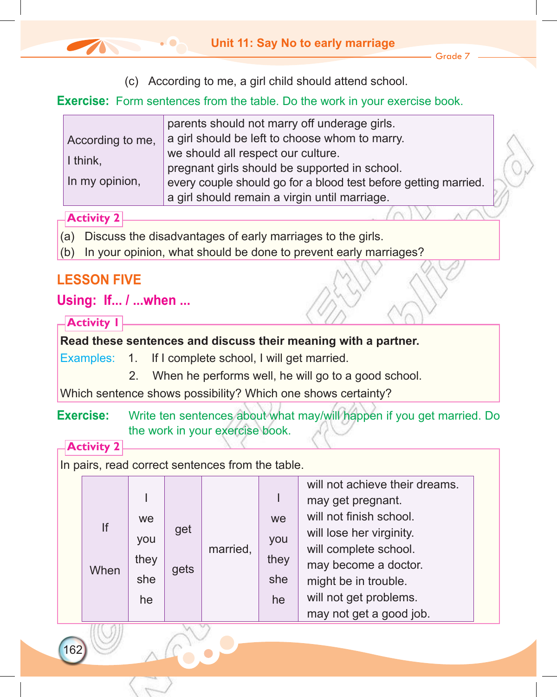- Grade 7
- (c) According to me, a girl child should attend school.

#### **Exercise:** Form sentences from the table. Do the work in your exercise book.

|                  | parents should not marry off underage girls.                    |  |  |  |  |  |
|------------------|-----------------------------------------------------------------|--|--|--|--|--|
| According to me, | a girl should be left to choose whom to marry.                  |  |  |  |  |  |
| I think,         | we should all respect our culture.                              |  |  |  |  |  |
|                  | pregnant girls should be supported in school.                   |  |  |  |  |  |
| In my opinion,   | every couple should go for a blood test before getting married. |  |  |  |  |  |
|                  | a girl should remain a virgin until marriage.                   |  |  |  |  |  |
|                  |                                                                 |  |  |  |  |  |

## **Activity 2**

- (a) Discuss the disadvantages of early marriages to the girls.
- (b) In your opinion, what should be done to prevent early marriages?

# **Lesson FIVE**

# **Using: If... / ...when ...**

#### **Activity 1**

## **Read these sentences and discuss their meaning with a partner.**

Examples: 1. If I complete school, I will get married.

2. When he performs well, he will go to a good school.

Which sentence shows possibility? Which one shows certainty?

## **Exercise:** Write ten sentences about what may/will happen if you get married. Do the work in your exercise book.

**Activity 2**

162

In pairs, read correct sentences from the table.

| If<br>When | get<br>gets | we.<br>you<br>they<br>she | married, | we<br>you<br>they<br>she<br>he | will not achieve their dreams.<br>may get pregnant.<br>will not finish school.<br>will lose her virginity.<br>will complete school.<br>may become a doctor.<br>might be in trouble.<br>will not get problems.<br>may not get a good job. |
|------------|-------------|---------------------------|----------|--------------------------------|------------------------------------------------------------------------------------------------------------------------------------------------------------------------------------------------------------------------------------------|
|------------|-------------|---------------------------|----------|--------------------------------|------------------------------------------------------------------------------------------------------------------------------------------------------------------------------------------------------------------------------------------|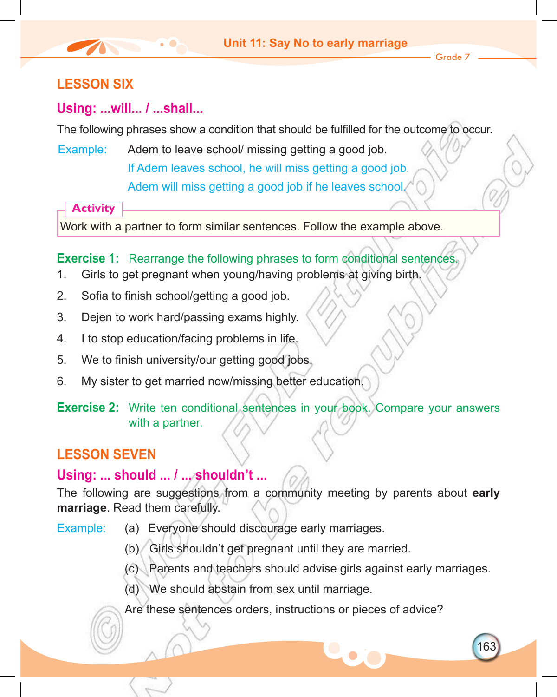Grade 7

163

# **Lesson SIX**

# **Using: ...will... / ...shall...**

The following phrases show a condition that should be fulfilled for the outcome to occur.

Example: Adem to leave school/ missing getting a good job. If Adem leaves school, he will miss getting a good job.

Adem will miss getting a good job if he leaves school.

**Activity**

Work with a partner to form similar sentences. Follow the example above.

**Exercise 1:** Rearrange the following phrases to form conditional sentences.

- 1. Girls to get pregnant when young/having problems at giving birth.
- 2. Sofia to finish school/getting a good job.
- 3. Dejen to work hard/passing exams highly.
- 4. I to stop education/facing problems in life.
- 5. We to finish university/our getting good jobs.
- 6. My sister to get married now/missing better education.
- **Exercise 2:** Write ten conditional sentences in your book. Compare your answers with a partner.

# **Lesson SEVEN**

# **Using: ... should ... / ... shouldn't ...**

The following are suggestions from a community meeting by parents about **early marriage**. Read them carefully.

- Example: (a) Everyone should discourage early marriages.
	- (b) Girls shouldn't get pregnant until they are married.
	- (c) Parents and teachers should advise girls against early marriages.
	- (d) We should abstain from sex until marriage.

Are these sentences orders, instructions or pieces of advice?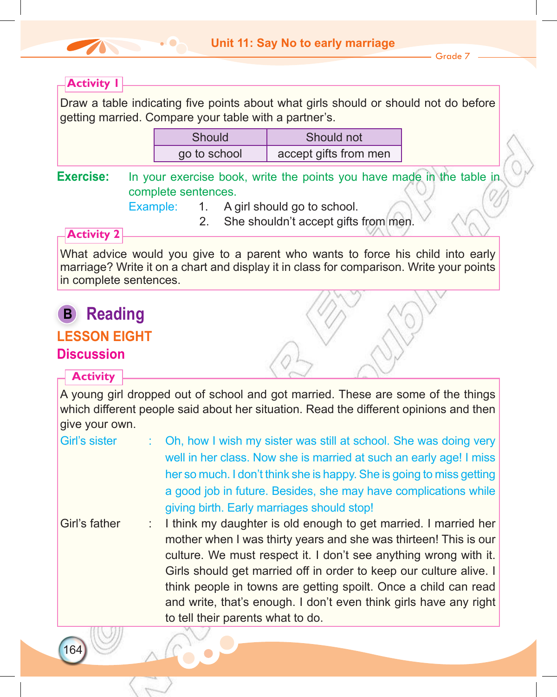

Grade 7

#### **Activity 1**

Draw a table indicating five points about what girls should or should not do before getting married. Compare your table with a partner's.

| Should       | Should not            |  |  |  |  |
|--------------|-----------------------|--|--|--|--|
| go to school | accept gifts from men |  |  |  |  |

**Exercise:** In your exercise book, write the points you have made in the table in complete sentences.

Example: 1. A girl should go to school.

2. She shouldn't accept gifts from men.

## **Activity 2**

What advice would you give to a parent who wants to force his child into early marriage? Write it on a chart and display it in class for comparison. Write your points in complete sentences.

# **B Reading Lesson EIGHT Discussion**

#### **Activity**

A young girl dropped out of school and got married. These are some of the things which different people said about her situation. Read the different opinions and then give your own.

- Girl's sister : Oh, how I wish my sister was still at school. She was doing very well in her class. Now she is married at such an early age! I miss her so much. I don't think she is happy. She is going to miss getting a good job in future. Besides, she may have complications while giving birth. Early marriages should stop! Girl's father : I think my daughter is old enough to get married. I married her
	- mother when I was thirty years and she was thirteen! This is our culture. We must respect it. I don't see anything wrong with it. Girls should get married off in order to keep our culture alive. I think people in towns are getting spoilt. Once a child can read and write, that's enough. I don't even think girls have any right to tell their parents what to do.

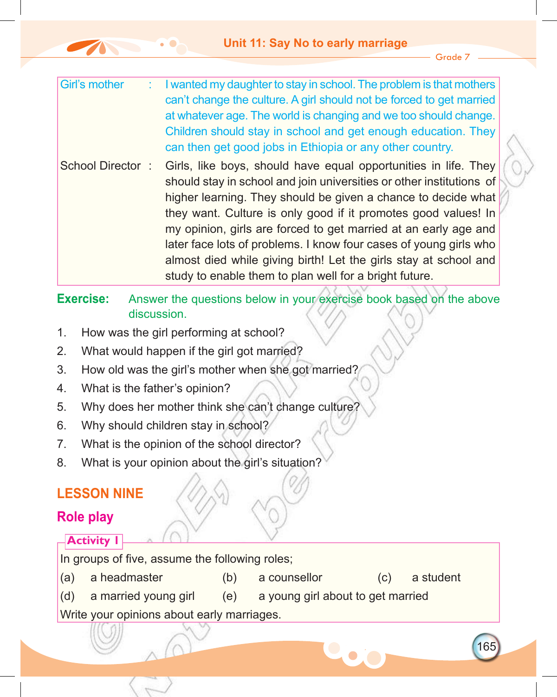Grade 7

- Girl's mother : I wanted my daughter to stay in school. The problem is that mothers can't change the culture. A girl should not be forced to get married at whatever age. The world is changing and we too should change. Children should stay in school and get enough education. They can then get good jobs in Ethiopia or any other country.
- School Director : Girls, like boys, should have equal opportunities in life. They should stay in school and join universities or other institutions of higher learning. They should be given a chance to decide what they want. Culture is only good if it promotes good values! In my opinion, girls are forced to get married at an early age and later face lots of problems. I know four cases of young girls who almost died while giving birth! Let the girls stay at school and study to enable them to plan well for a bright future.

**Exercise:** Answer the questions below in your exercise book based on the above discussion.

- 1. How was the girl performing at school?
- 2. What would happen if the girl got married?
- 3. How old was the girl's mother when she got married?
- 4. What is the father's opinion?
- 5. Why does her mother think she can't change culture?
- 6. Why should children stay in school?
- 7. What is the opinion of the school director?
- 8. What is your opinion about the girl's situation?

# **Lesson nine**

# **Role play**

# **Activity 1** In groups of five, assume the following roles; (a) a headmaster (b) a counsellor (c) a student (d) a married young girl (e) a young girl about to get married Write your opinions about early marriages.

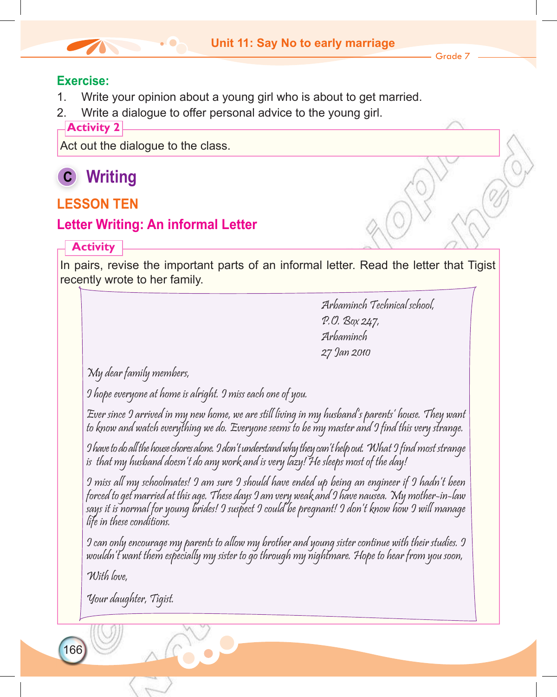#### **Exercise:**

- 1. Write your opinion about a young girl who is about to get married.
- 2. Write a dialogue to offer personal advice to the young girl.

#### **Activity 2**

Act out the dialogue to the class.

# **C Writing**

# **Lesson ten**

# **Letter Writing: An informal Letter**

# **Activity**

In pairs, revise the important parts of an informal letter. Read the letter that Tigist recently wrote to her family.

> Arbaminch Technical school, P.O. Box 247, Arbaminch 27 Jan 2010

My dear family members,

I hope everyone at home is alright. I miss each one of you.

Ever since I arrived in my new home, we are still living in my husband's parents' house. They want to know and watch everything we do. Everyone seems to be my master and I find this very strange.

I have to do all the house chores alone. I don't understand why they can't help out. What I find most strange is that my husband doesn't do any work and is very lazy! He sleeps most of the day!

I miss all my schoolmates! I am sure I should have ended up being an engineer if I hadn't been forced to get married at this age. These days I am very weak and I have nausea. My mother-in-law says it is normal for young brides! I suspect I could be pregnant! I don't know how I will manage life in these conditions.

I can only encourage my parents to allow my brother and young sister continue with their studies. I wouldn't want them especially my sister to go through my nightmare. Hope to hear from you soon,

With love

166

Your daughter, Tigist.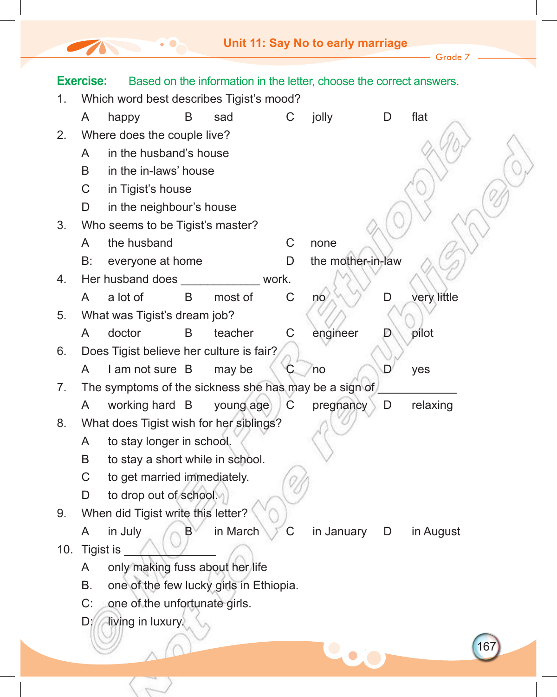The Company

 $-$  Grade 7  $-$ 

|             | <b>Exercise:</b> |                                                       |   |           |   | Based on the information in the letter, choose the correct answers. |   |             |    |
|-------------|------------------|-------------------------------------------------------|---|-----------|---|---------------------------------------------------------------------|---|-------------|----|
| 1.          |                  | Which word best describes Tigist's mood?              |   |           |   |                                                                     |   |             |    |
|             | A                | happy                                                 | B | sad       | С | jolly                                                               | D | flat        |    |
| 2.          |                  | Where does the couple live?                           |   |           |   |                                                                     |   |             |    |
|             | A                | in the husband's house                                |   |           |   |                                                                     |   |             |    |
|             | B                | in the in-laws' house                                 |   |           |   |                                                                     |   |             |    |
|             | C                | in Tigist's house                                     |   |           |   |                                                                     |   |             |    |
|             | D                | in the neighbour's house                              |   |           |   |                                                                     |   |             |    |
| 3.          |                  | Who seems to be Tigist's master?                      |   |           |   |                                                                     |   |             |    |
|             | A                | the husband                                           |   |           | C | none                                                                |   |             |    |
|             | B:               | everyone at home                                      |   |           | D | the mother-in-law                                                   |   |             |    |
| 4.          |                  | Her husband does <b>Selection</b>                     |   | work.     |   |                                                                     |   |             |    |
|             | A                | a lot of                                              | B | most of   | C | no                                                                  | D | very little |    |
| 5.          |                  | What was Tigist's dream job?                          |   |           |   |                                                                     |   |             |    |
|             | A                | doctor                                                | B | teacher   | C | engineer                                                            |   | pilot       |    |
| 6.          |                  | Does Tigist believe her culture is fair?              |   |           |   |                                                                     |   |             |    |
|             | A                | I am not sure B                                       |   | may be    |   | <b>no</b>                                                           |   | yes         |    |
| $7_{\cdot}$ |                  | The symptoms of the sickness she has may be a sign of |   |           |   |                                                                     |   |             |    |
|             | A                | working hard B                                        |   | young age | C | pregnancy                                                           | D | relaxing    |    |
| 8.          |                  | What does Tigist wish for her siblings?               |   |           |   |                                                                     |   |             |    |
|             | A                | to stay longer in school.                             |   |           |   |                                                                     |   |             |    |
|             | B                | to stay a short while in school.                      |   |           |   |                                                                     |   |             |    |
|             | C                | to get married immediately.                           |   |           |   |                                                                     |   |             |    |
|             | D                | to drop out of school.                                |   |           |   |                                                                     |   |             |    |
| 9.          |                  | When did Tigist write this letter?                    |   |           |   |                                                                     |   |             |    |
|             | A                | in July                                               | B | in March  | С | in January                                                          | D | in August   |    |
| 10.         |                  | Tigist is _                                           |   |           |   |                                                                     |   |             |    |
|             | A                | only making fuss about her life                       |   |           |   |                                                                     |   |             |    |
|             | Β.               | one of the few lucky girls in Ethiopia.               |   |           |   |                                                                     |   |             |    |
|             | C:               | one of the unfortunate girls.                         |   |           |   |                                                                     |   |             |    |
|             | D                | living in luxury.                                     |   |           |   |                                                                     |   |             |    |
|             |                  |                                                       |   |           |   |                                                                     |   |             | 16 |
|             |                  |                                                       |   |           |   |                                                                     |   |             |    |
|             |                  |                                                       |   |           |   |                                                                     |   |             |    |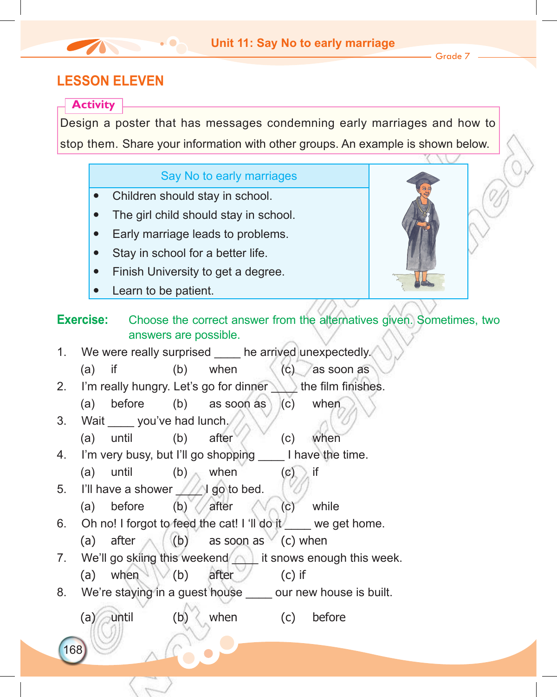Grade 7

# **Lesson eleven**

#### **Activity**

Design a poster that has messages condemning early marriages and how to stop them. Share your information with other groups. An example is shown below.

# 168 Say No to early marriages Children should stay in school. The girl child should stay in school. Early marriage leads to problems. Stay in school for a better life. Finish University to get a degree. Learn to be patient. **Exercise:** Choose the correct answer from the alternatives given. Sometimes, two answers are possible. 1. We were really surprised he arrived unexpectedly. (a) if (b) when  $\langle c \rangle$  as soon as 2. I'm really hungry. Let's go for dinner the film finishes. (a) before (b) as soon as (c) when 3. Wait you've had lunch. (a) until (b) after (c) when 4. I'm very busy, but I'll go shopping I have the time. (a) until (b) when  $(c)$  if 5. I'll have a shower  $\sqrt{2}$  go to bed. (a) before (b)  $\sqrt{a}$  after  $\sqrt{c}$  (c) while 6. Oh no! I forgot to feed the cat! I 'll do it we get home. (a) after  $($   $($   $)$  as soon as  $($  c) when 7. We'll go skiing this weekend  $\wedge$  it snows enough this week. (a) when  $(b)$  after (c) if 8. We're staying in a guest house our new house is built. (a) until (b) when (c) before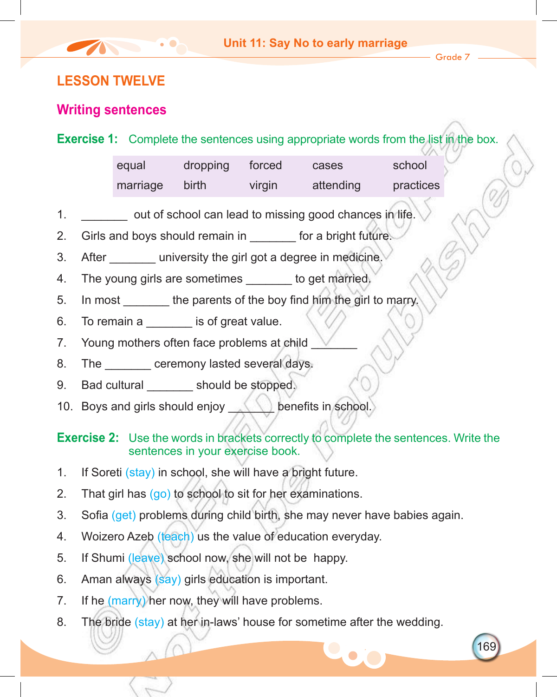$-$  Grade  $7$ .

169

# **Lesson twelve**

## **Writing sentences**

| <b>Exercise 1:</b> Complete the sentences using appropriate words from the list in the box. |  |
|---------------------------------------------------------------------------------------------|--|
|---------------------------------------------------------------------------------------------|--|

| equal    | dropping | torced | cases     | school    |
|----------|----------|--------|-----------|-----------|
| marriage | birth    | virgin | attending | practices |

- 1. **1.** Out of school can lead to missing good chances in life.
- 2. Girls and boys should remain in for a bright future.
- 3. After university the girl got a degree in medicine.
- 4. The young girls are sometimes to get married.
- 5. In most the parents of the boy find him the girl to marry.
- 6. To remain a **z** is of great value.
- 7. Young mothers often face problems at child
- 8. The ceremony lasted several days.
- 9. Bad cultural should be stopped.
- 10. Boys and girls should enjoy **All the benefits in school.**

#### **Exercise 2:** Use the words in brackets correctly to complete the sentences. Write the sentences in your exercise book.

- 1. If Soreti (stay) in school, she will have a bright future.
- 2. That girl has (go) to school to sit for her examinations.
- 3. Sofia (get) problems during child birth, she may never have babies again.
- 4. Woizero Azeb (teach) us the value of education everyday.
- 5. If Shumi (leave) school now, she will not be happy.
- 6. Aman always (say) girls education is important.
- 7. If he (marry) her now, they will have problems.
- 8. The bride (stay) at her in-laws' house for sometime after the wedding.